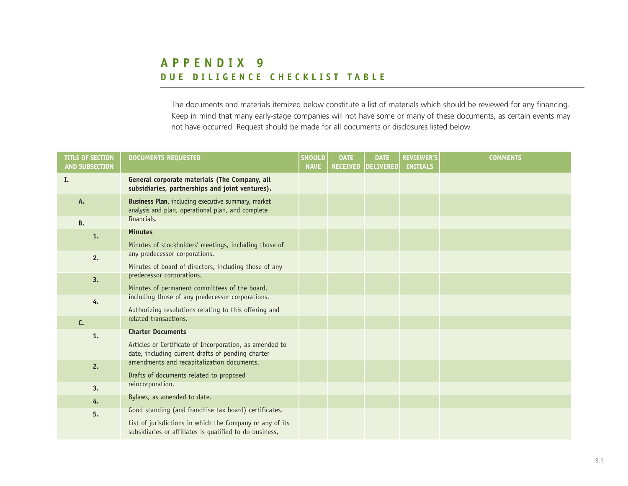## **APPENDIX 9 DUE DILIGENCE CHECKLIST TABLE**

The documents and materials itemized below constitute a list of materials which should be reviewed for any financing. Keep in mind that many early-stage companies will not have some or many of these documents, as certain events may not have occurred. Request should be made for all documents or disclosures listed below.

| <b>TITLE OF SECTION</b><br><b>AND SUBSECTION</b> | <b>DOCUMENTS REQUESTED</b>                                                                                                                                                   | <b>SHOULD</b><br><b>HAVE</b> | <b>DATE</b><br><b>RECEIVED</b> | <b>DATE</b><br><b>DELIVERED</b> | <b>REVIEWER'S</b><br><b>INITIALS</b> | <b>COMMENTS</b> |
|--------------------------------------------------|------------------------------------------------------------------------------------------------------------------------------------------------------------------------------|------------------------------|--------------------------------|---------------------------------|--------------------------------------|-----------------|
| I.                                               | General corporate materials (The Company, all<br>subsidiaries, partnerships and joint ventures).                                                                             |                              |                                |                                 |                                      |                 |
| A.                                               | Business Plan, including executive summary, market<br>analysis and plan, operational plan, and complete                                                                      |                              |                                |                                 |                                      |                 |
| <b>B.</b>                                        | financials.                                                                                                                                                                  |                              |                                |                                 |                                      |                 |
| 1.                                               | <b>Minutes</b><br>Minutes of stockholders' meetings, including those of                                                                                                      |                              |                                |                                 |                                      |                 |
| 2.                                               | any predecessor corporations.<br>Minutes of board of directors, including those of any                                                                                       |                              |                                |                                 |                                      |                 |
| 3.                                               | predecessor corporations.<br>Minutes of permanent committees of the board,                                                                                                   |                              |                                |                                 |                                      |                 |
| 4.                                               | including those of any predecessor corporations.<br>Authorizing resolutions relating to this offering and                                                                    |                              |                                |                                 |                                      |                 |
| C.                                               | related transactions.                                                                                                                                                        |                              |                                |                                 |                                      |                 |
| 1.                                               | <b>Charter Documents</b><br>Articles or Certificate of Incorporation, as amended to<br>date, including current drafts of pending charter                                     |                              |                                |                                 |                                      |                 |
| 2.                                               | amendments and recapitalization documents.<br>Drafts of documents related to proposed                                                                                        |                              |                                |                                 |                                      |                 |
| 3.                                               | reincorporation.                                                                                                                                                             |                              |                                |                                 |                                      |                 |
| 4.                                               | Bylaws, as amended to date.                                                                                                                                                  |                              |                                |                                 |                                      |                 |
| 5.                                               | Good standing (and franchise tax board) certificates.<br>List of jurisdictions in which the Company or any of its<br>subsidiaries or affiliates is qualified to do business, |                              |                                |                                 |                                      |                 |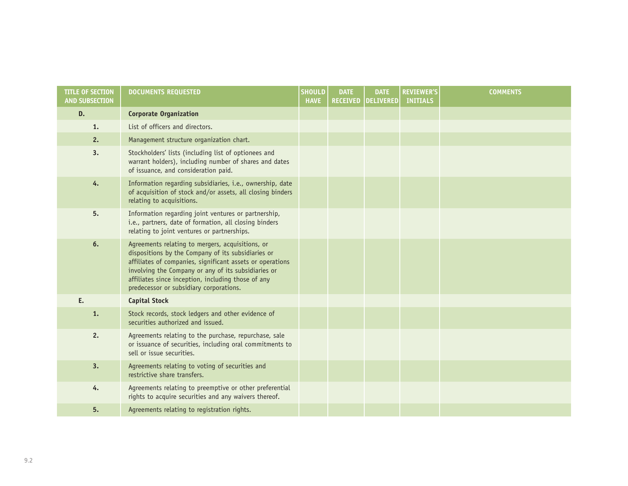| <b>TITLE OF SECTION</b><br><b>AND SUBSECTION</b> | <b>DOCUMENTS REQUESTED</b>                                                                                                                                                                                                                                                                                                  | <b>SHOULD</b><br><b>HAVE</b> | <b>DATE</b><br><b>RECEIVED</b> | <b>DATE</b><br><b>DELIVERED</b> | <b>REVIEWER'S</b><br><b>INITIALS</b> | <b>COMMENTS</b> |
|--------------------------------------------------|-----------------------------------------------------------------------------------------------------------------------------------------------------------------------------------------------------------------------------------------------------------------------------------------------------------------------------|------------------------------|--------------------------------|---------------------------------|--------------------------------------|-----------------|
| D.                                               | <b>Corporate Organization</b>                                                                                                                                                                                                                                                                                               |                              |                                |                                 |                                      |                 |
| 1.                                               | List of officers and directors.                                                                                                                                                                                                                                                                                             |                              |                                |                                 |                                      |                 |
| 2.                                               | Management structure organization chart.                                                                                                                                                                                                                                                                                    |                              |                                |                                 |                                      |                 |
| 3.                                               | Stockholders' lists (including list of optionees and<br>warrant holders), including number of shares and dates<br>of issuance, and consideration paid.                                                                                                                                                                      |                              |                                |                                 |                                      |                 |
| 4.                                               | Information regarding subsidiaries, i.e., ownership, date<br>of acquisition of stock and/or assets, all closing binders<br>relating to acquisitions.                                                                                                                                                                        |                              |                                |                                 |                                      |                 |
| 5.                                               | Information regarding joint ventures or partnership,<br>i.e., partners, date of formation, all closing binders<br>relating to joint ventures or partnerships.                                                                                                                                                               |                              |                                |                                 |                                      |                 |
| 6.                                               | Agreements relating to mergers, acquisitions, or<br>dispositions by the Company of its subsidiaries or<br>affiliates of companies, significant assets or operations<br>involving the Company or any of its subsidiaries or<br>affiliates since inception, including those of any<br>predecessor or subsidiary corporations. |                              |                                |                                 |                                      |                 |
| E.                                               | <b>Capital Stock</b>                                                                                                                                                                                                                                                                                                        |                              |                                |                                 |                                      |                 |
| 1.                                               | Stock records, stock ledgers and other evidence of<br>securities authorized and issued.                                                                                                                                                                                                                                     |                              |                                |                                 |                                      |                 |
| 2.                                               | Agreements relating to the purchase, repurchase, sale<br>or issuance of securities, including oral commitments to<br>sell or issue securities.                                                                                                                                                                              |                              |                                |                                 |                                      |                 |
| 3.                                               | Agreements relating to voting of securities and<br>restrictive share transfers.                                                                                                                                                                                                                                             |                              |                                |                                 |                                      |                 |
| 4.                                               | Agreements relating to preemptive or other preferential<br>rights to acquire securities and any waivers thereof.                                                                                                                                                                                                            |                              |                                |                                 |                                      |                 |
| 5.                                               | Agreements relating to registration rights.                                                                                                                                                                                                                                                                                 |                              |                                |                                 |                                      |                 |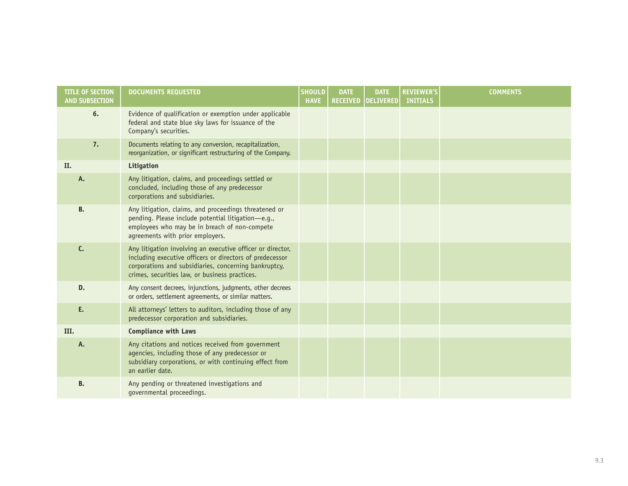| <b>TITLE OF SECTION</b><br><b>AND SUBSECTION</b> | <b>DOCUMENTS REQUESTED</b>                                                                                                                                                                                                        | <b>SHOULD</b><br><b>HAVE</b> | <b>DATE</b><br><b>RECEIVED</b> | <b>DATE</b><br><b>DELIVERED</b> | <b>REVIEWER'S</b><br><b>INITIALS</b> | <b>COMMENTS</b> |
|--------------------------------------------------|-----------------------------------------------------------------------------------------------------------------------------------------------------------------------------------------------------------------------------------|------------------------------|--------------------------------|---------------------------------|--------------------------------------|-----------------|
| 6.                                               | Evidence of qualification or exemption under applicable<br>federal and state blue sky laws for issuance of the<br>Company's securities.                                                                                           |                              |                                |                                 |                                      |                 |
| 7.                                               | Documents relating to any conversion, recapitalization,<br>reorganization, or significant restructuring of the Company.                                                                                                           |                              |                                |                                 |                                      |                 |
| II.                                              | Litigation                                                                                                                                                                                                                        |                              |                                |                                 |                                      |                 |
| A.                                               | Any litigation, claims, and proceedings settled or<br>concluded, including those of any predecessor<br>corporations and subsidiaries.                                                                                             |                              |                                |                                 |                                      |                 |
| <b>B.</b>                                        | Any litigation, claims, and proceedings threatened or<br>pending. Please include potential litigation-e.g.,<br>employees who may be in breach of non-compete<br>agreements with prior employers.                                  |                              |                                |                                 |                                      |                 |
| C.                                               | Any litigation involving an executive officer or director,<br>including executive officers or directors of predecessor<br>corporations and subsidiaries, concerning bankruptcy,<br>crimes, securities law, or business practices. |                              |                                |                                 |                                      |                 |
| D.                                               | Any consent decrees, injunctions, judgments, other decrees<br>or orders, settlement agreements, or similar matters.                                                                                                               |                              |                                |                                 |                                      |                 |
| E.                                               | All attorneys' letters to auditors, including those of any<br>predecessor corporation and subsidiaries.                                                                                                                           |                              |                                |                                 |                                      |                 |
| III.                                             | <b>Compliance with Laws</b>                                                                                                                                                                                                       |                              |                                |                                 |                                      |                 |
| A.                                               | Any citations and notices received from government<br>agencies, including those of any predecessor or<br>subsidiary corporations, or with continuing effect from<br>an earlier date.                                              |                              |                                |                                 |                                      |                 |
| <b>B.</b>                                        | Any pending or threatened investigations and<br>governmental proceedings.                                                                                                                                                         |                              |                                |                                 |                                      |                 |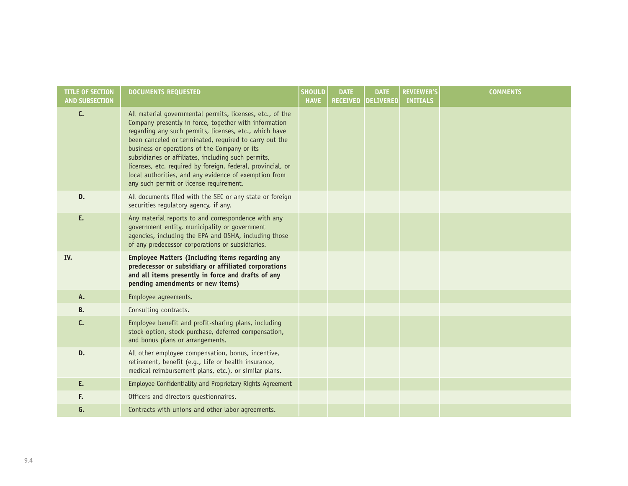| <b>TITLE OF SECTION</b><br><b>AND SUBSECTION</b> | <b>DOCUMENTS REQUESTED</b>                                                                                                                                                                                                                                                                                                                                                                                                                                                                                       | <b>SHOULD</b><br><b>HAVE</b> | <b>DATE</b><br><b>RECEIVED</b> | <b>DATE</b><br><b>DELIVERED</b> | <b>REVIEWER'S</b><br><b>INITIALS</b> | <b>COMMENTS</b> |
|--------------------------------------------------|------------------------------------------------------------------------------------------------------------------------------------------------------------------------------------------------------------------------------------------------------------------------------------------------------------------------------------------------------------------------------------------------------------------------------------------------------------------------------------------------------------------|------------------------------|--------------------------------|---------------------------------|--------------------------------------|-----------------|
| C.                                               | All material governmental permits, licenses, etc., of the<br>Company presently in force, together with information<br>regarding any such permits, licenses, etc., which have<br>been canceled or terminated, required to carry out the<br>business or operations of the Company or its<br>subsidiaries or affiliates, including such permits,<br>licenses, etc. required by foreign, federal, provincial, or<br>local authorities, and any evidence of exemption from<br>any such permit or license requirement. |                              |                                |                                 |                                      |                 |
| D.                                               | All documents filed with the SEC or any state or foreign<br>securities regulatory agency, if any.                                                                                                                                                                                                                                                                                                                                                                                                                |                              |                                |                                 |                                      |                 |
| E.                                               | Any material reports to and correspondence with any<br>government entity, municipality or government<br>agencies, including the EPA and OSHA, including those<br>of any predecessor corporations or subsidiaries.                                                                                                                                                                                                                                                                                                |                              |                                |                                 |                                      |                 |
| IV.                                              | <b>Employee Matters (Including items regarding any</b><br>predecessor or subsidiary or affiliated corporations<br>and all items presently in force and drafts of any<br>pending amendments or new items)                                                                                                                                                                                                                                                                                                         |                              |                                |                                 |                                      |                 |
| A.                                               | Employee agreements.                                                                                                                                                                                                                                                                                                                                                                                                                                                                                             |                              |                                |                                 |                                      |                 |
| <b>B.</b>                                        | Consulting contracts.                                                                                                                                                                                                                                                                                                                                                                                                                                                                                            |                              |                                |                                 |                                      |                 |
| C.                                               | Employee benefit and profit-sharing plans, including<br>stock option, stock purchase, deferred compensation,<br>and bonus plans or arrangements.                                                                                                                                                                                                                                                                                                                                                                 |                              |                                |                                 |                                      |                 |
| D.                                               | All other employee compensation, bonus, incentive,<br>retirement, benefit (e.g., Life or health insurance,<br>medical reimbursement plans, etc.), or similar plans.                                                                                                                                                                                                                                                                                                                                              |                              |                                |                                 |                                      |                 |
| E.                                               | Employee Confidentiality and Proprietary Rights Agreement                                                                                                                                                                                                                                                                                                                                                                                                                                                        |                              |                                |                                 |                                      |                 |
| F.                                               | Officers and directors questionnaires.                                                                                                                                                                                                                                                                                                                                                                                                                                                                           |                              |                                |                                 |                                      |                 |
| G.                                               | Contracts with unions and other labor agreements.                                                                                                                                                                                                                                                                                                                                                                                                                                                                |                              |                                |                                 |                                      |                 |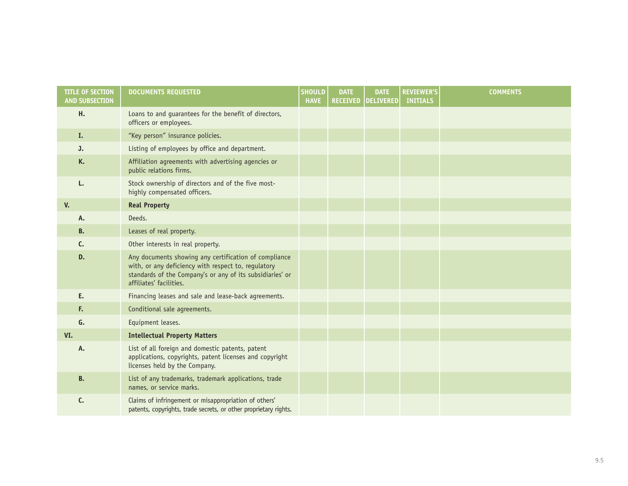| <b>TITLE OF SECTION</b><br><b>AND SUBSECTION</b> | <b>DOCUMENTS REQUESTED</b>                                                                                                                                                                           | <b>SHOULD</b><br><b>HAVE</b> | <b>DATE</b><br><b>RECEIVED</b> | <b>DATE</b><br><b>DELIVERED</b> | <b>REVIEWER'S</b><br><b>INITIALS</b> | <b>COMMENTS</b> |
|--------------------------------------------------|------------------------------------------------------------------------------------------------------------------------------------------------------------------------------------------------------|------------------------------|--------------------------------|---------------------------------|--------------------------------------|-----------------|
| Н.                                               | Loans to and guarantees for the benefit of directors,<br>officers or employees.                                                                                                                      |                              |                                |                                 |                                      |                 |
| I.                                               | "Key person" insurance policies.                                                                                                                                                                     |                              |                                |                                 |                                      |                 |
| J.                                               | Listing of employees by office and department.                                                                                                                                                       |                              |                                |                                 |                                      |                 |
| K.                                               | Affiliation agreements with advertising agencies or<br>public relations firms.                                                                                                                       |                              |                                |                                 |                                      |                 |
| L.                                               | Stock ownership of directors and of the five most-<br>highly compensated officers.                                                                                                                   |                              |                                |                                 |                                      |                 |
| V.                                               | <b>Real Property</b>                                                                                                                                                                                 |                              |                                |                                 |                                      |                 |
| Α.                                               | Deeds.                                                                                                                                                                                               |                              |                                |                                 |                                      |                 |
| <b>B.</b>                                        | Leases of real property.                                                                                                                                                                             |                              |                                |                                 |                                      |                 |
| C.                                               | Other interests in real property.                                                                                                                                                                    |                              |                                |                                 |                                      |                 |
| D.                                               | Any documents showing any certification of compliance<br>with, or any deficiency with respect to, regulatory<br>standards of the Company's or any of its subsidiaries' or<br>affiliates' facilities. |                              |                                |                                 |                                      |                 |
| E.                                               | Financing leases and sale and lease-back agreements.                                                                                                                                                 |                              |                                |                                 |                                      |                 |
| F.                                               | Conditional sale agreements.                                                                                                                                                                         |                              |                                |                                 |                                      |                 |
| G.                                               | Equipment leases.                                                                                                                                                                                    |                              |                                |                                 |                                      |                 |
| VI.                                              | <b>Intellectual Property Matters</b>                                                                                                                                                                 |                              |                                |                                 |                                      |                 |
| A.                                               | List of all foreign and domestic patents, patent<br>applications, copyrights, patent licenses and copyright<br>licenses held by the Company.                                                         |                              |                                |                                 |                                      |                 |
| <b>B.</b>                                        | List of any trademarks, trademark applications, trade<br>names, or service marks.                                                                                                                    |                              |                                |                                 |                                      |                 |
| C.                                               | Claims of infringement or misappropriation of others'<br>patents, copyrights, trade secrets, or other proprietary rights.                                                                            |                              |                                |                                 |                                      |                 |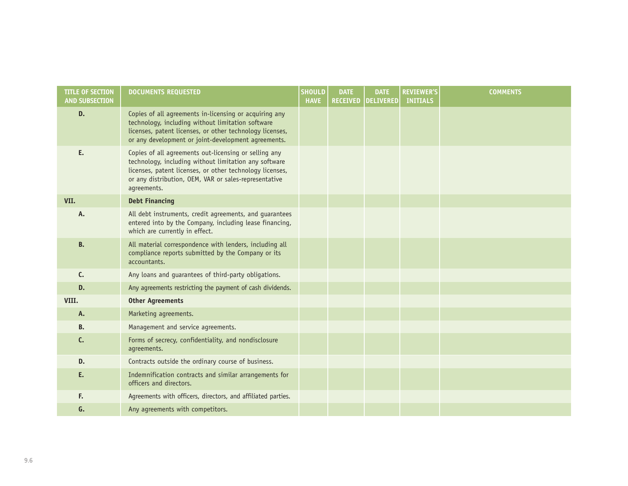| <b>TITLE OF SECTION</b><br><b>AND SUBSECTION</b> | <b>DOCUMENTS REQUESTED</b>                                                                                                                                                                                                                         | <b>SHOULD</b><br><b>HAVE</b> | <b>DATE</b><br><b>RECEIVED</b> | <b>DATE</b><br><b>DELIVERED</b> | <b>REVIEWER'S</b><br><b>INITIALS</b> | <b>COMMENTS</b> |
|--------------------------------------------------|----------------------------------------------------------------------------------------------------------------------------------------------------------------------------------------------------------------------------------------------------|------------------------------|--------------------------------|---------------------------------|--------------------------------------|-----------------|
| D.                                               | Copies of all agreements in-licensing or acquiring any<br>technology, including without limitation software<br>licenses, patent licenses, or other technology licenses,<br>or any development or joint-development agreements.                     |                              |                                |                                 |                                      |                 |
| E.                                               | Copies of all agreements out-licensing or selling any<br>technology, including without limitation any software<br>licenses, patent licenses, or other technology licenses,<br>or any distribution, OEM, VAR or sales-representative<br>agreements. |                              |                                |                                 |                                      |                 |
| VII.                                             | <b>Debt Financing</b>                                                                                                                                                                                                                              |                              |                                |                                 |                                      |                 |
| Α.                                               | All debt instruments, credit agreements, and guarantees<br>entered into by the Company, including lease financing,<br>which are currently in effect.                                                                                               |                              |                                |                                 |                                      |                 |
| <b>B.</b>                                        | All material correspondence with lenders, including all<br>compliance reports submitted by the Company or its<br>accountants.                                                                                                                      |                              |                                |                                 |                                      |                 |
| C.                                               | Any loans and guarantees of third-party obligations.                                                                                                                                                                                               |                              |                                |                                 |                                      |                 |
| D.                                               | Any agreements restricting the payment of cash dividends.                                                                                                                                                                                          |                              |                                |                                 |                                      |                 |
| VIII.                                            | <b>Other Agreements</b>                                                                                                                                                                                                                            |                              |                                |                                 |                                      |                 |
| A.                                               | Marketing agreements.                                                                                                                                                                                                                              |                              |                                |                                 |                                      |                 |
| <b>B.</b>                                        | Management and service agreements.                                                                                                                                                                                                                 |                              |                                |                                 |                                      |                 |
| C.                                               | Forms of secrecy, confidentiality, and nondisclosure<br>agreements.                                                                                                                                                                                |                              |                                |                                 |                                      |                 |
| D.                                               | Contracts outside the ordinary course of business.                                                                                                                                                                                                 |                              |                                |                                 |                                      |                 |
| E.                                               | Indemnification contracts and similar arrangements for<br>officers and directors.                                                                                                                                                                  |                              |                                |                                 |                                      |                 |
| F.                                               | Agreements with officers, directors, and affiliated parties.                                                                                                                                                                                       |                              |                                |                                 |                                      |                 |
| G.                                               | Any agreements with competitors.                                                                                                                                                                                                                   |                              |                                |                                 |                                      |                 |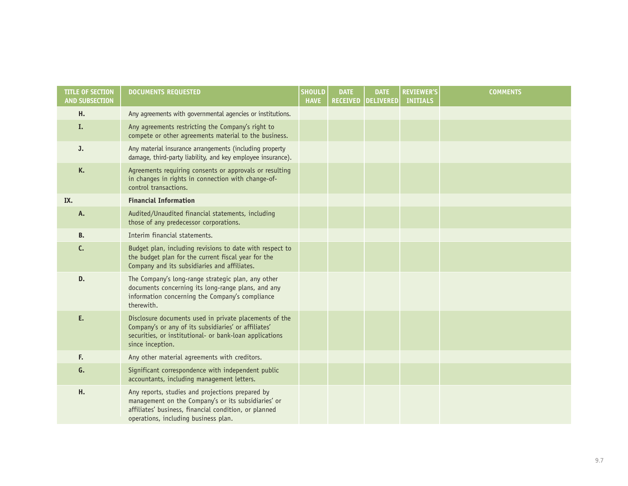| <b>TITLE OF SECTION</b><br><b>AND SUBSECTION</b> | <b>DOCUMENTS REQUESTED</b>                                                                                                                                                                               | <b>SHOULD</b><br><b>HAVE</b> | <b>DATE</b> | <b>DATE</b><br><b>RECEIVED   DELIVERED</b> | <b>REVIEWER'S</b><br><b>INITIALS</b> | <b>COMMENTS</b> |
|--------------------------------------------------|----------------------------------------------------------------------------------------------------------------------------------------------------------------------------------------------------------|------------------------------|-------------|--------------------------------------------|--------------------------------------|-----------------|
| Н.                                               | Any agreements with governmental agencies or institutions.                                                                                                                                               |                              |             |                                            |                                      |                 |
| I.                                               | Any agreements restricting the Company's right to<br>compete or other agreements material to the business.                                                                                               |                              |             |                                            |                                      |                 |
| J.                                               | Any material insurance arrangements (including property<br>damage, third-party liability, and key employee insurance).                                                                                   |                              |             |                                            |                                      |                 |
| K.                                               | Agreements requiring consents or approvals or resulting<br>in changes in rights in connection with change-of-<br>control transactions.                                                                   |                              |             |                                            |                                      |                 |
| IX.                                              | <b>Financial Information</b>                                                                                                                                                                             |                              |             |                                            |                                      |                 |
| A.                                               | Audited/Unaudited financial statements, including<br>those of any predecessor corporations.                                                                                                              |                              |             |                                            |                                      |                 |
| <b>B.</b>                                        | Interim financial statements.                                                                                                                                                                            |                              |             |                                            |                                      |                 |
| c.                                               | Budget plan, including revisions to date with respect to<br>the budget plan for the current fiscal year for the<br>Company and its subsidiaries and affiliates.                                          |                              |             |                                            |                                      |                 |
| D.                                               | The Company's long-range strategic plan, any other<br>documents concerning its long-range plans, and any<br>information concerning the Company's compliance<br>therewith.                                |                              |             |                                            |                                      |                 |
| E.                                               | Disclosure documents used in private placements of the<br>Company's or any of its subsidiaries' or affiliates'<br>securities, or institutional- or bank-loan applications<br>since inception.            |                              |             |                                            |                                      |                 |
| F.                                               | Any other material agreements with creditors.                                                                                                                                                            |                              |             |                                            |                                      |                 |
| G.                                               | Significant correspondence with independent public<br>accountants, including management letters.                                                                                                         |                              |             |                                            |                                      |                 |
| Н.                                               | Any reports, studies and projections prepared by<br>management on the Company's or its subsidiaries' or<br>affiliates' business, financial condition, or planned<br>operations, including business plan. |                              |             |                                            |                                      |                 |